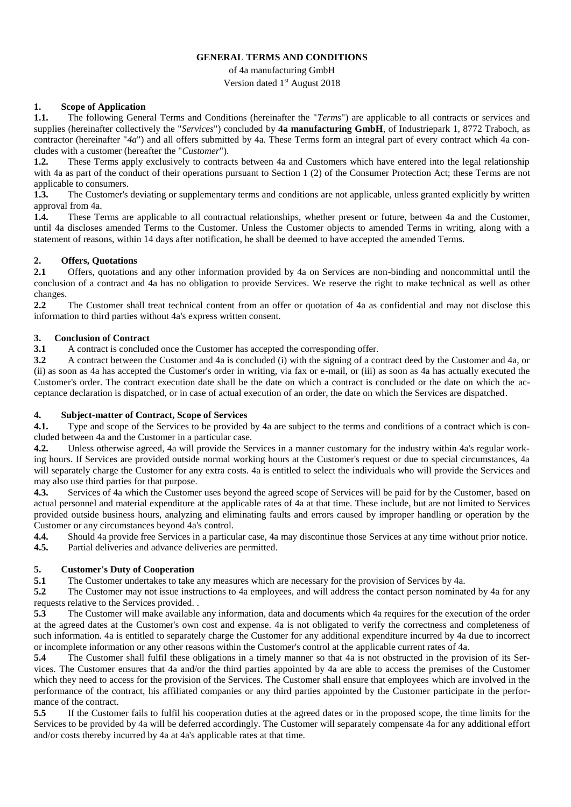### **GENERAL TERMS AND CONDITIONS**

of 4a manufacturing GmbH Version dated 1<sup>st</sup> August 2018

## **1. Scope of Application**

**1.1.** The following General Terms and Conditions (hereinafter the "*Terms*") are applicable to all contracts or services and supplies (hereinafter collectively the "*Services*") concluded by **4a manufacturing GmbH**, of Industriepark 1, 8772 Traboch, as contractor (hereinafter "*4a*") and all offers submitted by 4a. These Terms form an integral part of every contract which 4a concludes with a customer (hereafter the "*Customer*").

**1.2.** These Terms apply exclusively to contracts between 4a and Customers which have entered into the legal relationship with 4a as part of the conduct of their operations pursuant to Section 1 (2) of the Consumer Protection Act; these Terms are not applicable to consumers.

**1.3.** The Customer's deviating or supplementary terms and conditions are not applicable, unless granted explicitly by written approval from 4a.

**1.4.** These Terms are applicable to all contractual relationships, whether present or future, between 4a and the Customer, until 4a discloses amended Terms to the Customer. Unless the Customer objects to amended Terms in writing, along with a statement of reasons, within 14 days after notification, he shall be deemed to have accepted the amended Terms.

## **2. Offers, Quotations**

**2.1** Offers, quotations and any other information provided by 4a on Services are non-binding and noncommittal until the conclusion of a contract and 4a has no obligation to provide Services. We reserve the right to make technical as well as other changes.

**2.2** The Customer shall treat technical content from an offer or quotation of 4a as confidential and may not disclose this information to third parties without 4a's express written consent.

## **3. Conclusion of Contract**

**3.1** A contract is concluded once the Customer has accepted the corresponding offer.

**3.2** A contract between the Customer and 4a is concluded (i) with the signing of a contract deed by the Customer and 4a, or (ii) as soon as 4a has accepted the Customer's order in writing, via fax or e-mail, or (iii) as soon as 4a has actually executed the Customer's order. The contract execution date shall be the date on which a contract is concluded or the date on which the acceptance declaration is dispatched, or in case of actual execution of an order, the date on which the Services are dispatched.

## **4. Subject-matter of Contract, Scope of Services**

**4.1.** Type and scope of the Services to be provided by 4a are subject to the terms and conditions of a contract which is concluded between 4a and the Customer in a particular case.

**4.2.** Unless otherwise agreed, 4a will provide the Services in a manner customary for the industry within 4a's regular working hours. If Services are provided outside normal working hours at the Customer's request or due to special circumstances, 4a will separately charge the Customer for any extra costs. 4a is entitled to select the individuals who will provide the Services and may also use third parties for that purpose.

**4.3.** Services of 4a which the Customer uses beyond the agreed scope of Services will be paid for by the Customer, based on actual personnel and material expenditure at the applicable rates of 4a at that time. These include, but are not limited to Services provided outside business hours, analyzing and eliminating faults and errors caused by improper handling or operation by the Customer or any circumstances beyond 4a's control.

**4.4.** Should 4a provide free Services in a particular case, 4a may discontinue those Services at any time without prior notice.

**4.5.** Partial deliveries and advance deliveries are permitted.

# **5. Customer's Duty of Cooperation**

**5.1** The Customer undertakes to take any measures which are necessary for the provision of Services by 4a.

**5.2** The Customer may not issue instructions to 4a employees, and will address the contact person nominated by 4a for any requests relative to the Services provided. .

**5.3** The Customer will make available any information, data and documents which 4a requires for the execution of the order at the agreed dates at the Customer's own cost and expense. 4a is not obligated to verify the correctness and completeness of such information. 4a is entitled to separately charge the Customer for any additional expenditure incurred by 4a due to incorrect or incomplete information or any other reasons within the Customer's control at the applicable current rates of 4a.

**5.4** The Customer shall fulfil these obligations in a timely manner so that 4a is not obstructed in the provision of its Services. The Customer ensures that 4a and/or the third parties appointed by 4a are able to access the premises of the Customer which they need to access for the provision of the Services. The Customer shall ensure that employees which are involved in the performance of the contract, his affiliated companies or any third parties appointed by the Customer participate in the performance of the contract.

**5.5** If the Customer fails to fulfil his cooperation duties at the agreed dates or in the proposed scope, the time limits for the Services to be provided by 4a will be deferred accordingly. The Customer will separately compensate 4a for any additional effort and/or costs thereby incurred by 4a at 4a's applicable rates at that time.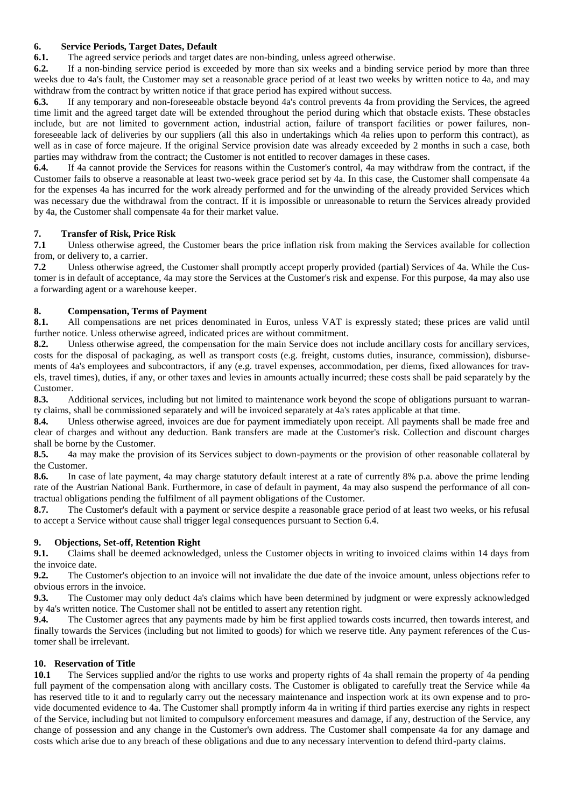### **6. Service Periods, Target Dates, Default**

**6.1.** The agreed service periods and target dates are non-binding, unless agreed otherwise.

**6.2.** If a non-binding service period is exceeded by more than six weeks and a binding service period by more than three weeks due to 4a's fault, the Customer may set a reasonable grace period of at least two weeks by written notice to 4a, and may withdraw from the contract by written notice if that grace period has expired without success.

**6.3.** If any temporary and non-foreseeable obstacle beyond 4a's control prevents 4a from providing the Services, the agreed time limit and the agreed target date will be extended throughout the period during which that obstacle exists. These obstacles include, but are not limited to government action, industrial action, failure of transport facilities or power failures, nonforeseeable lack of deliveries by our suppliers (all this also in undertakings which 4a relies upon to perform this contract), as well as in case of force majeure. If the original Service provision date was already exceeded by 2 months in such a case, both parties may withdraw from the contract; the Customer is not entitled to recover damages in these cases.

**6.4.** If 4a cannot provide the Services for reasons within the Customer's control, 4a may withdraw from the contract, if the Customer fails to observe a reasonable at least two-week grace period set by 4a. In this case, the Customer shall compensate 4a for the expenses 4a has incurred for the work already performed and for the unwinding of the already provided Services which was necessary due the withdrawal from the contract. If it is impossible or unreasonable to return the Services already provided by 4a, the Customer shall compensate 4a for their market value.

#### **7. Transfer of Risk, Price Risk**

**7.1** Unless otherwise agreed, the Customer bears the price inflation risk from making the Services available for collection from, or delivery to, a carrier.

**7.2** Unless otherwise agreed, the Customer shall promptly accept properly provided (partial) Services of 4a. While the Customer is in default of acceptance, 4a may store the Services at the Customer's risk and expense. For this purpose, 4a may also use a forwarding agent or a warehouse keeper.

## **8. Compensation, Terms of Payment**

**8.1.** All compensations are net prices denominated in Euros, unless VAT is expressly stated; these prices are valid until further notice. Unless otherwise agreed, indicated prices are without commitment.

**8.2.** Unless otherwise agreed, the compensation for the main Service does not include ancillary costs for ancillary services, costs for the disposal of packaging, as well as transport costs (e.g. freight, customs duties, insurance, commission), disbursements of 4a's employees and subcontractors, if any (e.g. travel expenses, accommodation, per diems, fixed allowances for travels, travel times), duties, if any, or other taxes and levies in amounts actually incurred; these costs shall be paid separately by the Customer.

**8.3.** Additional services, including but not limited to maintenance work beyond the scope of obligations pursuant to warranty claims, shall be commissioned separately and will be invoiced separately at 4a's rates applicable at that time.

**8.4.** Unless otherwise agreed, invoices are due for payment immediately upon receipt. All payments shall be made free and clear of charges and without any deduction. Bank transfers are made at the Customer's risk. Collection and discount charges shall be borne by the Customer.

**8.5.** 4a may make the provision of its Services subject to down-payments or the provision of other reasonable collateral by the Customer.

**8.6.** In case of late payment, 4a may charge statutory default interest at a rate of currently 8% p.a. above the prime lending rate of the Austrian National Bank. Furthermore, in case of default in payment, 4a may also suspend the performance of all contractual obligations pending the fulfilment of all payment obligations of the Customer.

**8.7.** The Customer's default with a payment or service despite a reasonable grace period of at least two weeks, or his refusal to accept a Service without cause shall trigger legal consequences pursuant to Section 6.4.

## **9. Objections, Set-off, Retention Right**

**9.1.** Claims shall be deemed acknowledged, unless the Customer objects in writing to invoiced claims within 14 days from the invoice date.

**9.2.** The Customer's objection to an invoice will not invalidate the due date of the invoice amount, unless objections refer to obvious errors in the invoice.

**9.3.** The Customer may only deduct 4a's claims which have been determined by judgment or were expressly acknowledged by 4a's written notice. The Customer shall not be entitled to assert any retention right.

**9.4.** The Customer agrees that any payments made by him be first applied towards costs incurred, then towards interest, and finally towards the Services (including but not limited to goods) for which we reserve title. Any payment references of the Customer shall be irrelevant.

## **10. Reservation of Title**

**10.1** The Services supplied and/or the rights to use works and property rights of 4a shall remain the property of 4a pending full payment of the compensation along with ancillary costs. The Customer is obligated to carefully treat the Service while 4a has reserved title to it and to regularly carry out the necessary maintenance and inspection work at its own expense and to provide documented evidence to 4a. The Customer shall promptly inform 4a in writing if third parties exercise any rights in respect of the Service, including but not limited to compulsory enforcement measures and damage, if any, destruction of the Service, any change of possession and any change in the Customer's own address. The Customer shall compensate 4a for any damage and costs which arise due to any breach of these obligations and due to any necessary intervention to defend third-party claims.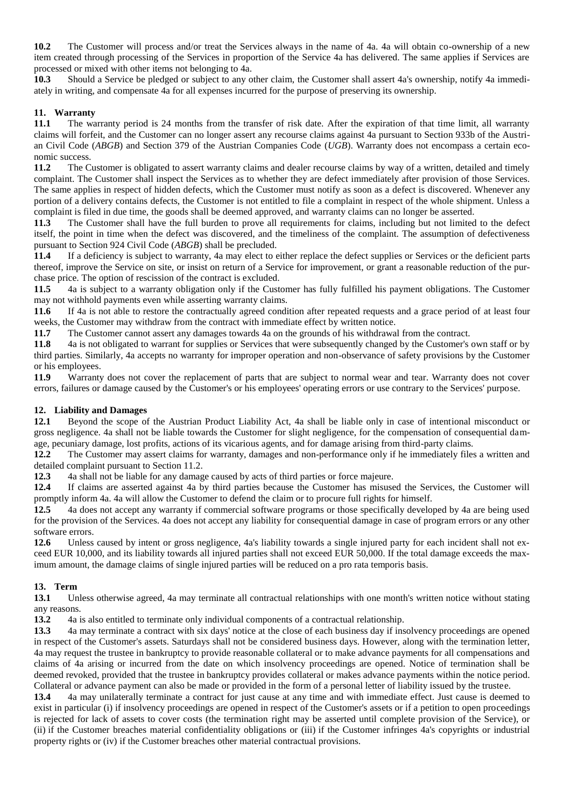**10.2** The Customer will process and/or treat the Services always in the name of 4a. 4a will obtain co-ownership of a new item created through processing of the Services in proportion of the Service 4a has delivered. The same applies if Services are processed or mixed with other items not belonging to 4a.

**10.3** Should a Service be pledged or subject to any other claim, the Customer shall assert 4a's ownership, notify 4a immediately in writing, and compensate 4a for all expenses incurred for the purpose of preserving its ownership.

#### **11. Warranty**

**11.1** The warranty period is 24 months from the transfer of risk date. After the expiration of that time limit, all warranty claims will forfeit, and the Customer can no longer assert any recourse claims against 4a pursuant to Section 933b of the Austrian Civil Code (*ABGB*) and Section 379 of the Austrian Companies Code (*UGB*). Warranty does not encompass a certain economic success.

**11.2** The Customer is obligated to assert warranty claims and dealer recourse claims by way of a written, detailed and timely complaint. The Customer shall inspect the Services as to whether they are defect immediately after provision of those Services. The same applies in respect of hidden defects, which the Customer must notify as soon as a defect is discovered. Whenever any portion of a delivery contains defects, the Customer is not entitled to file a complaint in respect of the whole shipment. Unless a complaint is filed in due time, the goods shall be deemed approved, and warranty claims can no longer be asserted.

**11.3** The Customer shall have the full burden to prove all requirements for claims, including but not limited to the defect itself, the point in time when the defect was discovered, and the timeliness of the complaint. The assumption of defectiveness pursuant to Section 924 Civil Code (*ABGB*) shall be precluded.

**11.4** If a deficiency is subject to warranty, 4a may elect to either replace the defect supplies or Services or the deficient parts thereof, improve the Service on site, or insist on return of a Service for improvement, or grant a reasonable reduction of the purchase price. The option of rescission of the contract is excluded.

**11.5** 4a is subject to a warranty obligation only if the Customer has fully fulfilled his payment obligations. The Customer may not withhold payments even while asserting warranty claims.

**11.6** If 4a is not able to restore the contractually agreed condition after repeated requests and a grace period of at least four weeks, the Customer may withdraw from the contract with immediate effect by written notice.

**11.7** The Customer cannot assert any damages towards 4a on the grounds of his withdrawal from the contract.

**11.8** 4a is not obligated to warrant for supplies or Services that were subsequently changed by the Customer's own staff or by third parties. Similarly, 4a accepts no warranty for improper operation and non-observance of safety provisions by the Customer or his employees.

**11.9** Warranty does not cover the replacement of parts that are subject to normal wear and tear. Warranty does not cover errors, failures or damage caused by the Customer's or his employees' operating errors or use contrary to the Services' purpose.

#### **12. Liability and Damages**

**12.1** Beyond the scope of the Austrian Product Liability Act, 4a shall be liable only in case of intentional misconduct or gross negligence. 4a shall not be liable towards the Customer for slight negligence, for the compensation of consequential damage, pecuniary damage, lost profits, actions of its vicarious agents, and for damage arising from third-party claims.

**12.2** The Customer may assert claims for warranty, damages and non-performance only if he immediately files a written and detailed complaint pursuant to Section 11.2.

**12.3** 4a shall not be liable for any damage caused by acts of third parties or force majeure.

**12.4** If claims are asserted against 4a by third parties because the Customer has misused the Services, the Customer will promptly inform 4a. 4a will allow the Customer to defend the claim or to procure full rights for himself.

**12.5** 4a does not accept any warranty if commercial software programs or those specifically developed by 4a are being used for the provision of the Services. 4a does not accept any liability for consequential damage in case of program errors or any other software errors.

**12.6** Unless caused by intent or gross negligence, 4a's liability towards a single injured party for each incident shall not exceed EUR 10,000, and its liability towards all injured parties shall not exceed EUR 50,000. If the total damage exceeds the maximum amount, the damage claims of single injured parties will be reduced on a pro rata temporis basis.

#### **13. Term**

**13.1** Unless otherwise agreed, 4a may terminate all contractual relationships with one month's written notice without stating any reasons.

**13.2** 4a is also entitled to terminate only individual components of a contractual relationship.

**13.3** 4a may terminate a contract with six days' notice at the close of each business day if insolvency proceedings are opened in respect of the Customer's assets. Saturdays shall not be considered business days. However, along with the termination letter, 4a may request the trustee in bankruptcy to provide reasonable collateral or to make advance payments for all compensations and claims of 4a arising or incurred from the date on which insolvency proceedings are opened. Notice of termination shall be deemed revoked, provided that the trustee in bankruptcy provides collateral or makes advance payments within the notice period. Collateral or advance payment can also be made or provided in the form of a personal letter of liability issued by the trustee.

**13.4** 4a may unilaterally terminate a contract for just cause at any time and with immediate effect. Just cause is deemed to exist in particular (i) if insolvency proceedings are opened in respect of the Customer's assets or if a petition to open proceedings is rejected for lack of assets to cover costs (the termination right may be asserted until complete provision of the Service), or (ii) if the Customer breaches material confidentiality obligations or (iii) if the Customer infringes 4a's copyrights or industrial property rights or (iv) if the Customer breaches other material contractual provisions.